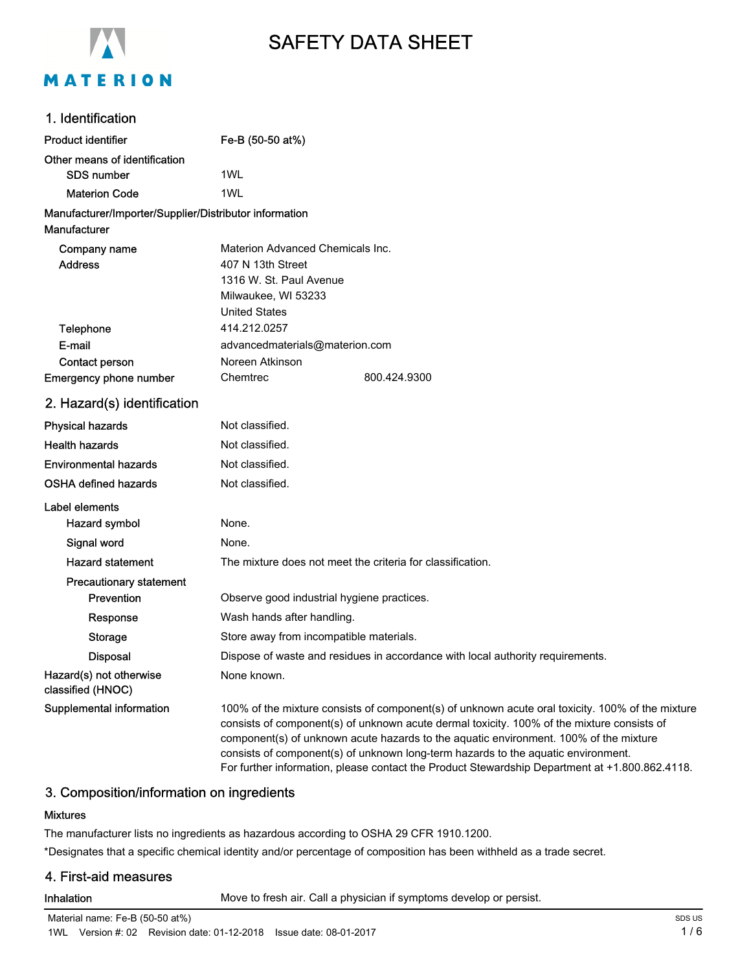

# SAFETY DATA SHEET

#### 1. Identification

| <b>Product identifier</b>                              | Fe-B (50-50 at%)                                                               |  |  |
|--------------------------------------------------------|--------------------------------------------------------------------------------|--|--|
| Other means of identification                          |                                                                                |  |  |
| <b>SDS number</b>                                      | 1WL                                                                            |  |  |
| <b>Materion Code</b>                                   | 1WL                                                                            |  |  |
| Manufacturer/Importer/Supplier/Distributor information |                                                                                |  |  |
| Manufacturer                                           |                                                                                |  |  |
| Company name                                           | Materion Advanced Chemicals Inc.                                               |  |  |
| <b>Address</b>                                         | 407 N 13th Street                                                              |  |  |
|                                                        | 1316 W. St. Paul Avenue                                                        |  |  |
|                                                        | Milwaukee, WI 53233<br><b>United States</b>                                    |  |  |
| Telephone                                              | 414.212.0257                                                                   |  |  |
| E-mail                                                 |                                                                                |  |  |
| Contact person                                         | advancedmaterials@materion.com<br>Noreen Atkinson                              |  |  |
| Emergency phone number                                 | Chemtrec<br>800.424.9300                                                       |  |  |
| 2. Hazard(s) identification                            |                                                                                |  |  |
| <b>Physical hazards</b>                                | Not classified.                                                                |  |  |
| <b>Health hazards</b>                                  | Not classified.                                                                |  |  |
| <b>Environmental hazards</b>                           | Not classified.                                                                |  |  |
| <b>OSHA defined hazards</b>                            | Not classified.                                                                |  |  |
| Label elements                                         |                                                                                |  |  |
| Hazard symbol                                          | None.                                                                          |  |  |
| Signal word                                            | None.                                                                          |  |  |
| <b>Hazard statement</b>                                | The mixture does not meet the criteria for classification.                     |  |  |
| <b>Precautionary statement</b>                         |                                                                                |  |  |
| Prevention                                             | Observe good industrial hygiene practices.                                     |  |  |
| Response                                               | Wash hands after handling.                                                     |  |  |
| <b>Storage</b>                                         | Store away from incompatible materials.                                        |  |  |
| <b>Disposal</b>                                        | Dispose of waste and residues in accordance with local authority requirements. |  |  |

Hazard(s) not otherwise classified (HNOC)

Supplemental information 100% of the mixture consists of component(s) of unknown acute oral toxicity. 100% of the mixture consists of component(s) of unknown acute dermal toxicity. 100% of the mixture consists of component(s) of unknown acute hazards to the aquatic environment. 100% of the mixture consists of component(s) of unknown long-term hazards to the aquatic environment. For further information, please contact the Product Stewardship Department at +1.800.862.4118.

#### 3. Composition/information on ingredients

#### Mixtures

The manufacturer lists no ingredients as hazardous according to OSHA 29 CFR 1910.1200. \*Designates that a specific chemical identity and/or percentage of composition has been withheld as a trade secret.

# 4. First-aid measures

Inhalation **Move to fresh air.** Call a physician if symptoms develop or persist.

None known.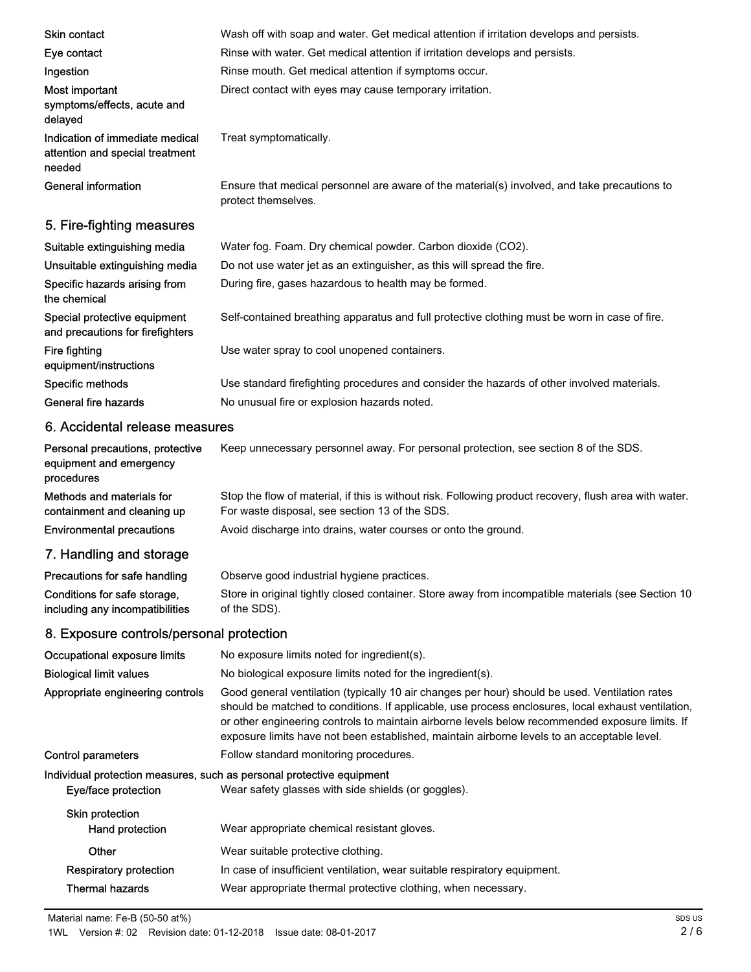| <b>Skin contact</b>                                                          | Wash off with soap and water. Get medical attention if irritation develops and persists.                                                                                                                                                                                                                                                                                                               |  |
|------------------------------------------------------------------------------|--------------------------------------------------------------------------------------------------------------------------------------------------------------------------------------------------------------------------------------------------------------------------------------------------------------------------------------------------------------------------------------------------------|--|
| Eye contact                                                                  | Rinse with water. Get medical attention if irritation develops and persists.                                                                                                                                                                                                                                                                                                                           |  |
| Ingestion                                                                    | Rinse mouth. Get medical attention if symptoms occur.                                                                                                                                                                                                                                                                                                                                                  |  |
| Most important<br>symptoms/effects, acute and<br>delayed                     | Direct contact with eyes may cause temporary irritation.                                                                                                                                                                                                                                                                                                                                               |  |
| Indication of immediate medical<br>attention and special treatment<br>needed | Treat symptomatically.                                                                                                                                                                                                                                                                                                                                                                                 |  |
| <b>General information</b>                                                   | Ensure that medical personnel are aware of the material(s) involved, and take precautions to<br>protect themselves.                                                                                                                                                                                                                                                                                    |  |
| 5. Fire-fighting measures                                                    |                                                                                                                                                                                                                                                                                                                                                                                                        |  |
| Suitable extinguishing media                                                 | Water fog. Foam. Dry chemical powder. Carbon dioxide (CO2).                                                                                                                                                                                                                                                                                                                                            |  |
| Unsuitable extinguishing media                                               | Do not use water jet as an extinguisher, as this will spread the fire.                                                                                                                                                                                                                                                                                                                                 |  |
| Specific hazards arising from<br>the chemical                                | During fire, gases hazardous to health may be formed.                                                                                                                                                                                                                                                                                                                                                  |  |
| Special protective equipment<br>and precautions for firefighters             | Self-contained breathing apparatus and full protective clothing must be worn in case of fire.                                                                                                                                                                                                                                                                                                          |  |
| Fire fighting<br>equipment/instructions                                      | Use water spray to cool unopened containers.                                                                                                                                                                                                                                                                                                                                                           |  |
| Specific methods                                                             | Use standard firefighting procedures and consider the hazards of other involved materials.                                                                                                                                                                                                                                                                                                             |  |
| <b>General fire hazards</b>                                                  | No unusual fire or explosion hazards noted.                                                                                                                                                                                                                                                                                                                                                            |  |
| 6. Accidental release measures                                               |                                                                                                                                                                                                                                                                                                                                                                                                        |  |
| Personal precautions, protective<br>equipment and emergency<br>procedures    | Keep unnecessary personnel away. For personal protection, see section 8 of the SDS.                                                                                                                                                                                                                                                                                                                    |  |
| Methods and materials for<br>containment and cleaning up                     | Stop the flow of material, if this is without risk. Following product recovery, flush area with water.<br>For waste disposal, see section 13 of the SDS.                                                                                                                                                                                                                                               |  |
| <b>Environmental precautions</b>                                             | Avoid discharge into drains, water courses or onto the ground.                                                                                                                                                                                                                                                                                                                                         |  |
| 7. Handling and storage                                                      |                                                                                                                                                                                                                                                                                                                                                                                                        |  |
| Precautions for safe handling                                                | Observe good industrial hygiene practices.                                                                                                                                                                                                                                                                                                                                                             |  |
| Conditions for safe storage,<br>including any incompatibilities              | Store in original tightly closed container. Store away from incompatible materials (see Section 10<br>of the SDS).                                                                                                                                                                                                                                                                                     |  |
| 8. Exposure controls/personal protection                                     |                                                                                                                                                                                                                                                                                                                                                                                                        |  |
| Occupational exposure limits                                                 | No exposure limits noted for ingredient(s).                                                                                                                                                                                                                                                                                                                                                            |  |
| <b>Biological limit values</b>                                               | No biological exposure limits noted for the ingredient(s).                                                                                                                                                                                                                                                                                                                                             |  |
| Appropriate engineering controls                                             | Good general ventilation (typically 10 air changes per hour) should be used. Ventilation rates<br>should be matched to conditions. If applicable, use process enclosures, local exhaust ventilation,<br>or other engineering controls to maintain airborne levels below recommended exposure limits. If<br>exposure limits have not been established, maintain airborne levels to an acceptable level. |  |
| <b>Control parameters</b>                                                    | Follow standard monitoring procedures.                                                                                                                                                                                                                                                                                                                                                                 |  |
| Eye/face protection                                                          | Individual protection measures, such as personal protective equipment<br>Wear safety glasses with side shields (or goggles).                                                                                                                                                                                                                                                                           |  |
| <b>Skin protection</b><br>Hand protection                                    | Wear appropriate chemical resistant gloves.                                                                                                                                                                                                                                                                                                                                                            |  |
| Other                                                                        | Wear suitable protective clothing.                                                                                                                                                                                                                                                                                                                                                                     |  |
| <b>Respiratory protection</b>                                                | In case of insufficient ventilation, wear suitable respiratory equipment.                                                                                                                                                                                                                                                                                                                              |  |
| <b>Thermal hazards</b>                                                       | Wear appropriate thermal protective clothing, when necessary.                                                                                                                                                                                                                                                                                                                                          |  |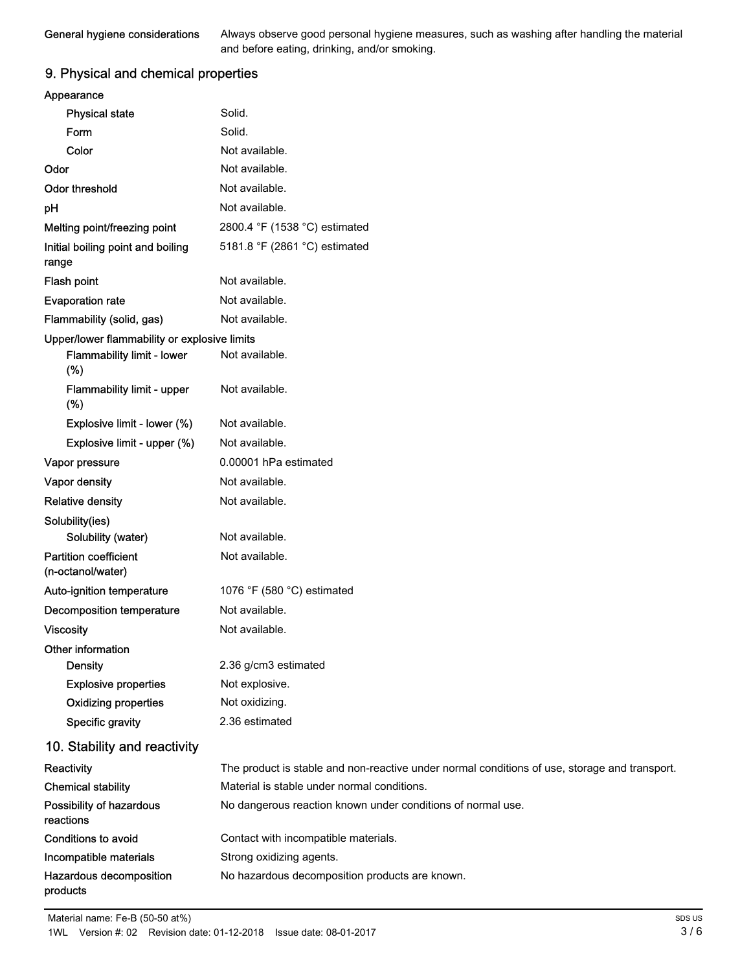General hygiene considerations

Always observe good personal hygiene measures, such as washing after handling the material and before eating, drinking, and/or smoking.

# 9. Physical and chemical properties

| Appearance                                        |                                                                                               |
|---------------------------------------------------|-----------------------------------------------------------------------------------------------|
| <b>Physical state</b>                             | Solid.                                                                                        |
| Form                                              | Solid.                                                                                        |
| Color                                             | Not available.                                                                                |
| Odor                                              | Not available.                                                                                |
| <b>Odor threshold</b>                             | Not available.                                                                                |
| pH                                                | Not available.                                                                                |
| Melting point/freezing point                      | 2800.4 °F (1538 °C) estimated                                                                 |
| Initial boiling point and boiling                 | 5181.8 °F (2861 °C) estimated                                                                 |
| range                                             |                                                                                               |
| Flash point                                       | Not available.                                                                                |
| <b>Evaporation rate</b>                           | Not available.                                                                                |
| Flammability (solid, gas)                         | Not available.                                                                                |
| Upper/lower flammability or explosive limits      |                                                                                               |
| Flammability limit - lower<br>(%)                 | Not available.                                                                                |
| Flammability limit - upper<br>(%)                 | Not available.                                                                                |
| Explosive limit - lower (%)                       | Not available.                                                                                |
| Explosive limit - upper (%)                       | Not available.                                                                                |
| Vapor pressure                                    | 0.00001 hPa estimated                                                                         |
| Vapor density                                     | Not available.                                                                                |
| <b>Relative density</b>                           | Not available.                                                                                |
| Solubility(ies)                                   |                                                                                               |
| Solubility (water)                                | Not available.                                                                                |
| <b>Partition coefficient</b><br>(n-octanol/water) | Not available.                                                                                |
| Auto-ignition temperature                         | 1076 °F (580 °C) estimated                                                                    |
| <b>Decomposition temperature</b>                  | Not available.                                                                                |
| <b>Viscosity</b>                                  | Not available.                                                                                |
| Other information                                 |                                                                                               |
| <b>Density</b>                                    | 2.36 g/cm3 estimated                                                                          |
| <b>Explosive properties</b>                       | Not explosive.                                                                                |
| <b>Oxidizing properties</b>                       | Not oxidizing.                                                                                |
| <b>Specific gravity</b>                           | 2.36 estimated                                                                                |
| 10. Stability and reactivity                      |                                                                                               |
| Reactivity                                        | The product is stable and non-reactive under normal conditions of use, storage and transport. |
| <b>Chemical stability</b>                         | Material is stable under normal conditions.                                                   |
| Possibility of hazardous<br>reactions             | No dangerous reaction known under conditions of normal use.                                   |
| <b>Conditions to avoid</b>                        | Contact with incompatible materials.                                                          |
| Incompatible materials                            | Strong oxidizing agents.                                                                      |
| Hazardous decomposition<br>products               | No hazardous decomposition products are known.                                                |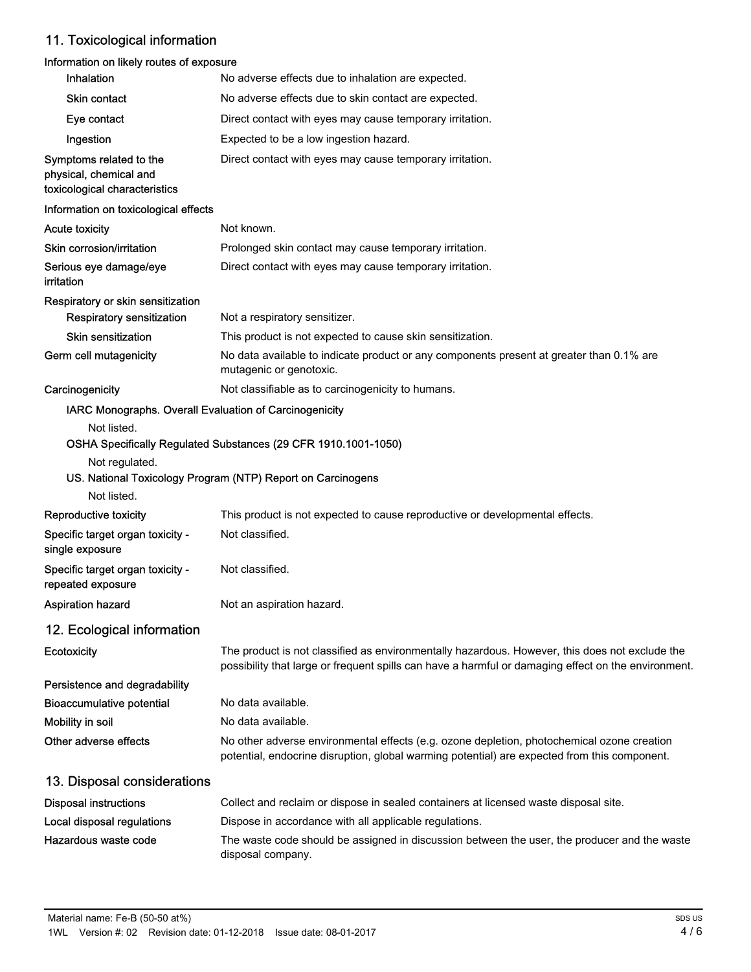# 11. Toxicological information

# Information on likely routes of exposure

| Inhalation                                                                         | No adverse effects due to inhalation are expected.                                                                                                                                                    |
|------------------------------------------------------------------------------------|-------------------------------------------------------------------------------------------------------------------------------------------------------------------------------------------------------|
| Skin contact                                                                       | No adverse effects due to skin contact are expected.                                                                                                                                                  |
| Eye contact                                                                        | Direct contact with eyes may cause temporary irritation.                                                                                                                                              |
| Ingestion                                                                          | Expected to be a low ingestion hazard.                                                                                                                                                                |
| Symptoms related to the<br>physical, chemical and<br>toxicological characteristics | Direct contact with eyes may cause temporary irritation.                                                                                                                                              |
| Information on toxicological effects                                               |                                                                                                                                                                                                       |
| <b>Acute toxicity</b>                                                              | Not known.                                                                                                                                                                                            |
| Skin corrosion/irritation                                                          | Prolonged skin contact may cause temporary irritation.                                                                                                                                                |
| Serious eye damage/eye<br>irritation                                               | Direct contact with eyes may cause temporary irritation.                                                                                                                                              |
| Respiratory or skin sensitization                                                  |                                                                                                                                                                                                       |
| <b>Respiratory sensitization</b>                                                   | Not a respiratory sensitizer.                                                                                                                                                                         |
| <b>Skin sensitization</b>                                                          | This product is not expected to cause skin sensitization.                                                                                                                                             |
| Germ cell mutagenicity                                                             | No data available to indicate product or any components present at greater than 0.1% are<br>mutagenic or genotoxic.                                                                                   |
| Carcinogenicity                                                                    | Not classifiable as to carcinogenicity to humans.                                                                                                                                                     |
| IARC Monographs. Overall Evaluation of Carcinogenicity                             |                                                                                                                                                                                                       |
| Not listed.                                                                        | OSHA Specifically Regulated Substances (29 CFR 1910.1001-1050)                                                                                                                                        |
| Not regulated.<br>Not listed.                                                      | US. National Toxicology Program (NTP) Report on Carcinogens                                                                                                                                           |
| Reproductive toxicity                                                              | This product is not expected to cause reproductive or developmental effects.                                                                                                                          |
| Specific target organ toxicity -<br>single exposure                                | Not classified.                                                                                                                                                                                       |
| Specific target organ toxicity -<br>repeated exposure                              | Not classified.                                                                                                                                                                                       |
| <b>Aspiration hazard</b>                                                           | Not an aspiration hazard.                                                                                                                                                                             |
| 12. Ecological information                                                         |                                                                                                                                                                                                       |
| Ecotoxicity                                                                        | The product is not classified as environmentally hazardous. However, this does not exclude the<br>possibility that large or frequent spills can have a harmful or damaging effect on the environment. |
| Persistence and degradability                                                      |                                                                                                                                                                                                       |
| <b>Bioaccumulative potential</b>                                                   | No data available.                                                                                                                                                                                    |
| Mobility in soil                                                                   | No data available.                                                                                                                                                                                    |
| Other adverse effects                                                              | No other adverse environmental effects (e.g. ozone depletion, photochemical ozone creation<br>potential, endocrine disruption, global warming potential) are expected from this component.            |
| 13. Disposal considerations                                                        |                                                                                                                                                                                                       |
| <b>Disposal instructions</b>                                                       | Collect and reclaim or dispose in sealed containers at licensed waste disposal site.                                                                                                                  |
| Local disposal regulations                                                         | Dispose in accordance with all applicable regulations.                                                                                                                                                |
| Hazardous waste code                                                               | The waste code should be assigned in discussion between the user, the producer and the waste<br>disposal company.                                                                                     |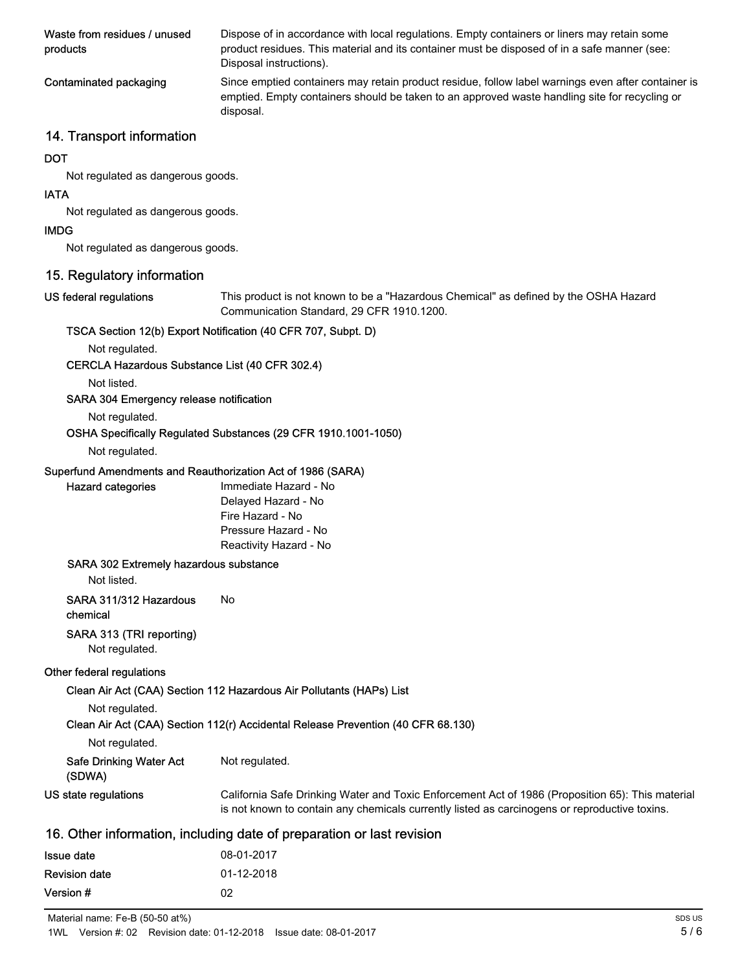| Waste from residues / unused<br>products | Dispose of in accordance with local regulations. Empty containers or liners may retain some<br>product residues. This material and its container must be disposed of in a safe manner (see:<br>Disposal instructions). |
|------------------------------------------|------------------------------------------------------------------------------------------------------------------------------------------------------------------------------------------------------------------------|
| Contaminated packaging                   | Since emptied containers may retain product residue, follow label warnings even after container is<br>emptied. Empty containers should be taken to an approved waste handling site for recycling or<br>disposal.       |

## 14. Transport information

#### **DOT**

Not regulated as dangerous goods.

#### IATA

Not regulated as dangerous goods.

#### IMDG

Not regulated as dangerous goods.

# 15. Regulatory information

#### US federal regulations

This product is not known to be a "Hazardous Chemical" as defined by the OSHA Hazard Communication Standard, 29 CFR 1910.1200.

#### TSCA Section 12(b) Export Notification (40 CFR 707, Subpt. D)

Not regulated.

#### CERCLA Hazardous Substance List (40 CFR 302.4)

Not listed.

#### SARA 304 Emergency release notification

Not regulated.

#### OSHA Specifically Regulated Substances (29 CFR 1910.1001-1050)

#### Not regulated.

Hazard categories

#### Superfund Amendments and Reauthorization Act of 1986 (SARA)

| Immediate Hazard - No  |
|------------------------|
| Delayed Hazard - No    |
| Fire Hazard - No       |
| Pressure Hazard - No   |
| Reactivity Hazard - No |

#### SARA 302 Extremely hazardous substance

Not listed.

#### SARA 311/312 Hazardous No

chemical

#### SARA 313 (TRI reporting)

Not regulated.

#### Other federal regulations

Clean Air Act (CAA) Section 112 Hazardous Air Pollutants (HAPs) List

Not regulated.

# Clean Air Act (CAA) Section 112(r) Accidental Release Prevention (40 CFR 68.130)

| Not regulated. |  |
|----------------|--|
|----------------|--|

| <b>Safe Drinking Water Act</b> | Not regulated. |
|--------------------------------|----------------|
| .                              |                |

| (SDWA) |  |  |
|--------|--|--|
|        |  |  |

California Safe Drinking Water and Toxic Enforcement Act of 1986 (Proposition 65): This material US state regulations

is not known to contain any chemicals currently listed as carcinogens or reproductive toxins.

## 16. Other information, including date of preparation or last revision

| <b>Issue date</b>    | 08-01-2017 |
|----------------------|------------|
| <b>Revision date</b> | 01-12-2018 |
| Version #            | 02         |